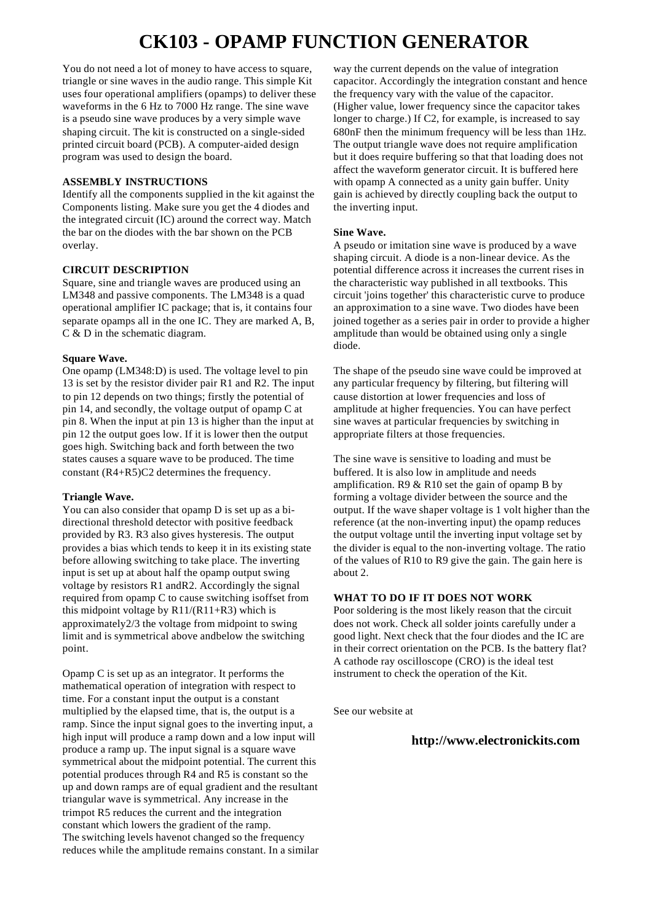## **CK103 - OPAMP FUNCTION GENERATOR**

You do not need a lot of money to have access to square, triangle or sine waves in the audio range. This simple Kit uses four operational amplifiers (opamps) to deliver these waveforms in the 6 Hz to 7000 Hz range. The sine wave is a pseudo sine wave produces by a very simple wave shaping circuit. The kit is constructed on a single-sided printed circuit board (PCB). A computer-aided design program was used to design the board.

#### **ASSEMBLY INSTRUCTIONS**

Identify all the components supplied in the kit against the Components listing. Make sure you get the 4 diodes and the integrated circuit (IC) around the correct way. Match the bar on the diodes with the bar shown on the PCB overlay.

#### **CIRCUIT DESCRIPTION**

Square, sine and triangle waves are produced using an LM348 and passive components. The LM348 is a quad operational amplifier IC package; that is, it contains four separate opamps all in the one IC. They are marked A, B, C & D in the schematic diagram.

#### **Square Wave.**

One opamp (LM348:D) is used. The voltage level to pin 13 is set by the resistor divider pair R1 and R2. The input to pin 12 depends on two things; firstly the potential of pin 14, and secondly, the voltage output of opamp C at pin 8. When the input at pin 13 is higher than the input at pin 12 the output goes low. If it is lower then the output goes high. Switching back and forth between the two states causes a square wave to be produced. The time constant (R4+R5)C2 determines the frequency.

#### **Triangle Wave.**

You can also consider that opamp D is set up as a bidirectional threshold detector with positive feedback provided by R3. R3 also gives hysteresis. The output provides a bias which tends to keep it in its existing state before allowing switching to take place. The inverting input is set up at about half the opamp output swing voltage by resistors R1 andR2. Accordingly the signal required from opamp C to cause switching isoffset from this midpoint voltage by  $R11/(R11+R3)$  which is approximately2/3 the voltage from midpoint to swing limit and is symmetrical above andbelow the switching point.

Opamp C is set up as an integrator. It performs the mathematical operation of integration with respect to time. For a constant input the output is a constant multiplied by the elapsed time, that is, the output is a ramp. Since the input signal goes to the inverting input, a high input will produce a ramp down and a low input will produce a ramp up. The input signal is a square wave symmetrical about the midpoint potential. The current this potential produces through R4 and R5 is constant so the up and down ramps are of equal gradient and the resultant triangular wave is symmetrical. Any increase in the trimpot R5 reduces the current and the integration constant which lowers the gradient of the ramp. The switching levels havenot changed so the frequency reduces while the amplitude remains constant. In a similar

way the current depends on the value of integration capacitor. Accordingly the integration constant and hence the frequency vary with the value of the capacitor. (Higher value, lower frequency since the capacitor takes longer to charge.) If C2, for example, is increased to say 680nF then the minimum frequency will be less than 1Hz. The output triangle wave does not require amplification but it does require buffering so that that loading does not affect the waveform generator circuit. It is buffered here with opamp A connected as a unity gain buffer. Unity gain is achieved by directly coupling back the output to the inverting input.

#### **Sine Wave.**

A pseudo or imitation sine wave is produced by a wave shaping circuit. A diode is a non-linear device. As the potential difference across it increases the current rises in the characteristic way published in all textbooks. This circuit 'joins together' this characteristic curve to produce an approximation to a sine wave. Two diodes have been joined together as a series pair in order to provide a higher amplitude than would be obtained using only a single diode.

The shape of the pseudo sine wave could be improved at any particular frequency by filtering, but filtering will cause distortion at lower frequencies and loss of amplitude at higher frequencies. You can have perfect sine waves at particular frequencies by switching in appropriate filters at those frequencies.

The sine wave is sensitive to loading and must be buffered. It is also low in amplitude and needs amplification.  $R9 & R10$  set the gain of opamp B by forming a voltage divider between the source and the output. If the wave shaper voltage is 1 volt higher than the reference (at the non-inverting input) the opamp reduces the output voltage until the inverting input voltage set by the divider is equal to the non-inverting voltage. The ratio of the values of R10 to R9 give the gain. The gain here is about 2.

#### **WHAT TO DO IF IT DOES NOT WORK**

Poor soldering is the most likely reason that the circuit does not work. Check all solder joints carefully under a good light. Next check that the four diodes and the IC are in their correct orientation on the PCB. Is the battery flat? A cathode ray oscilloscope (CRO) is the ideal test instrument to check the operation of the Kit.

See our website at

### **http://www.electronickits.com**